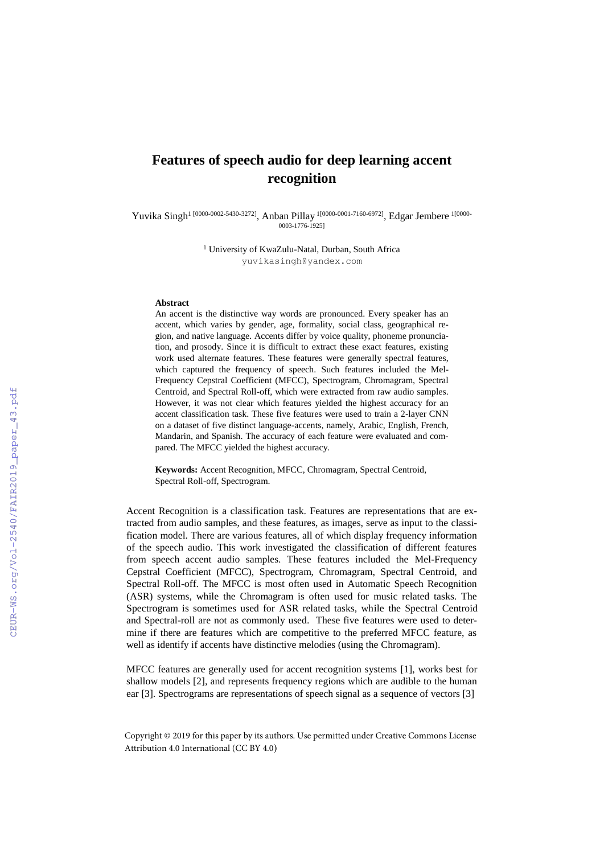## **Features of speech audio for deep learning accent recognition**

Yuvika Singh<sup>1 [0000-0002-5430-3272]</sup>, Anban Pillay <sup>1[0000-0001-7160-6972]</sup>, Edgar Jembere <sup>1[0000-</sup> 0003-1776-1925]

> <sup>1</sup> University of KwaZulu-Natal, Durban, South Africa yuvikasingh@yandex.com

## **Abstract**

An accent is the distinctive way words are pronounced. Every speaker has an accent, which varies by gender, age, formality, social class, geographical region, and native language. Accents differ by voice quality, phoneme pronunciation, and prosody. Since it is difficult to extract these exact features, existing work used alternate features. These features were generally spectral features, which captured the frequency of speech. Such features included the Mel-Frequency Cepstral Coefficient (MFCC), Spectrogram, Chromagram, Spectral Centroid, and Spectral Roll-off, which were extracted from raw audio samples. However, it was not clear which features yielded the highest accuracy for an accent classification task. These five features were used to train a 2-layer CNN on a dataset of five distinct language-accents, namely, Arabic, English, French, Mandarin, and Spanish. The accuracy of each feature were evaluated and compared. The MFCC yielded the highest accuracy.

**Keywords:** Accent Recognition, MFCC, Chromagram, Spectral Centroid, Spectral Roll-off, Spectrogram.

Accent Recognition is a classification task. Features are representations that are extracted from audio samples, and these features, as images, serve as input to the classification model. There are various features, all of which display frequency information of the speech audio. This work investigated the classification of different features from speech accent audio samples. These features included the Mel-Frequency Cepstral Coefficient (MFCC), Spectrogram, Chromagram, Spectral Centroid, and Spectral Roll-off. The MFCC is most often used in Automatic Speech Recognition (ASR) systems, while the Chromagram is often used for music related tasks. The Spectrogram is sometimes used for ASR related tasks, while the Spectral Centroid and Spectral-roll are not as commonly used. These five features were used to determine if there are features which are competitive to the preferred MFCC feature, as well as identify if accents have distinctive melodies (using the Chromagram).

MFCC features are generally used for accent recognition systems [1], works best for shallow models [2], and represents frequency regions which are audible to the human ear [3]. Spectrograms are representations of speech signal as a sequence of vectors [3]

Copyright © 2019 for this paper by its authors. Use permitted under Creative Commons License Attribution 4.0 International (CC BY 4.0)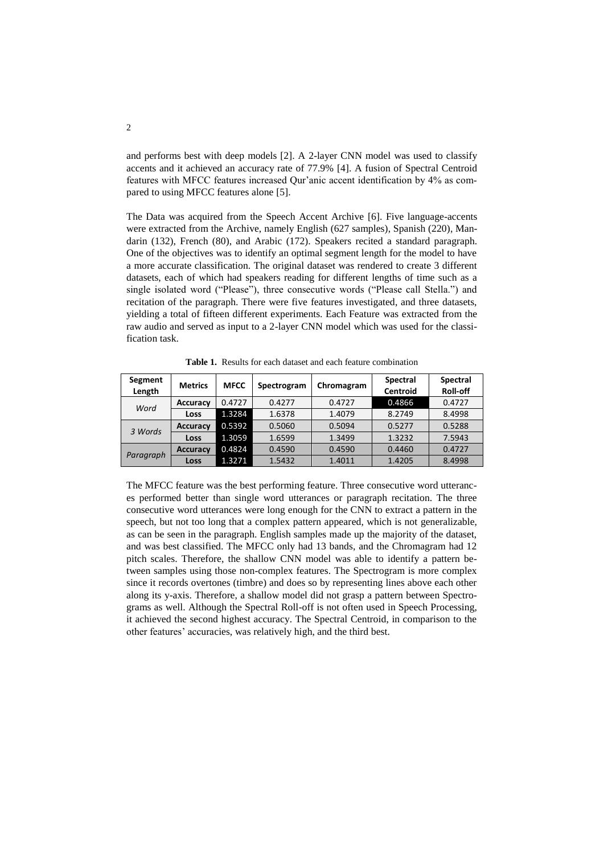and performs best with deep models [2]. A 2-layer CNN model was used to classify accents and it achieved an accuracy rate of 77.9% [4]. A fusion of Spectral Centroid features with MFCC features increased Qur'anic accent identification by 4% as compared to using MFCC features alone [5].

The Data was acquired from the Speech Accent Archive [6]. Five language-accents were extracted from the Archive, namely English (627 samples), Spanish (220), Mandarin (132), French (80), and Arabic (172). Speakers recited a standard paragraph. One of the objectives was to identify an optimal segment length for the model to have a more accurate classification. The original dataset was rendered to create 3 different datasets, each of which had speakers reading for different lengths of time such as a single isolated word ("Please"), three consecutive words ("Please call Stella.") and recitation of the paragraph. There were five features investigated, and three datasets, yielding a total of fifteen different experiments. Each Feature was extracted from the raw audio and served as input to a 2-layer CNN model which was used for the classification task.

| Segment<br>Length | <b>Metrics</b>  | <b>MFCC</b> | Spectrogram | Chromagram | <b>Spectral</b><br><b>Centroid</b> | <b>Spectral</b><br>Roll-off |
|-------------------|-----------------|-------------|-------------|------------|------------------------------------|-----------------------------|
| Word              | <b>Accuracy</b> | 0.4727      | 0.4277      | 0.4727     | 0.4866                             | 0.4727                      |
|                   | Loss            | 1.3284      | 1.6378      | 1.4079     | 8.2749                             | 8.4998                      |
| 3 Words           | <b>Accuracy</b> | 0.5392      | 0.5060      | 0.5094     | 0.5277                             | 0.5288                      |
|                   | Loss            | 1.3059      | 1.6599      | 1.3499     | 1.3232                             | 7.5943                      |
| Paragraph         | <b>Accuracy</b> | 0.4824      | 0.4590      | 0.4590     | 0.4460                             | 0.4727                      |
|                   | Loss            | 1.3271      | 1.5432      | 1.4011     | 1.4205                             | 8.4998                      |

**Table 1.** Results for each dataset and each feature combination

The MFCC feature was the best performing feature. Three consecutive word utterances performed better than single word utterances or paragraph recitation. The three consecutive word utterances were long enough for the CNN to extract a pattern in the speech, but not too long that a complex pattern appeared, which is not generalizable, as can be seen in the paragraph. English samples made up the majority of the dataset, and was best classified. The MFCC only had 13 bands, and the Chromagram had 12 pitch scales. Therefore, the shallow CNN model was able to identify a pattern between samples using those non-complex features. The Spectrogram is more complex since it records overtones (timbre) and does so by representing lines above each other along its y-axis. Therefore, a shallow model did not grasp a pattern between Spectrograms as well. Although the Spectral Roll-off is not often used in Speech Processing, it achieved the second highest accuracy. The Spectral Centroid, in comparison to the other features' accuracies, was relatively high, and the third best.